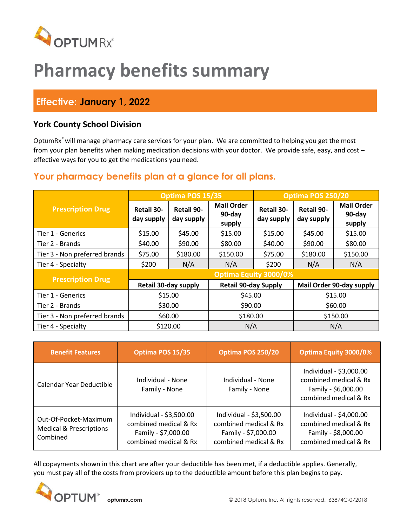

# **Pharmacy benefits summary**

## **Effective: January 1, 2022**

### **York County School Division**

OptumRx<sup>®</sup> will manage pharmacy care services for your plan. We are committed to helping you get the most from your plan benefits when making medication decisions with your doctor. We provide safe, easy, and cost – effective ways for you to get the medications you need.

## **Your pharmacy benefits plan at a glance for all plans.**

|                               | Optima POS 15/35                |                                 |                                       | Optima POS 250/20               |                                 |                                       |  |
|-------------------------------|---------------------------------|---------------------------------|---------------------------------------|---------------------------------|---------------------------------|---------------------------------------|--|
| <b>Prescription Drug</b>      | <b>Retail 30-</b><br>day supply | <b>Retail 90-</b><br>day supply | <b>Mail Order</b><br>90-day<br>supply | <b>Retail 30-</b><br>day supply | <b>Retail 90-</b><br>day supply | <b>Mail Order</b><br>90-day<br>supply |  |
| Tier 1 - Generics             | \$15.00                         | \$45.00                         | \$15.00                               | \$15.00                         | \$45.00                         | \$15.00                               |  |
| Tier 2 - Brands               | \$40.00                         | \$90.00                         | \$80.00                               | \$40.00                         | \$90.00                         | \$80.00                               |  |
| Tier 3 - Non preferred brands | \$75.00                         | \$180.00                        | \$150.00                              | \$75.00                         | \$180.00                        | \$150.00                              |  |
| Tier 4 - Specialty            | \$200                           | N/A                             | N/A                                   | \$200                           | N/A                             | N/A                                   |  |
| <b>Prescription Drug</b>      | Optima Equity 3000/0%           |                                 |                                       |                                 |                                 |                                       |  |
|                               | Retail 30-day supply            |                                 | <b>Retail 90-day Supply</b>           |                                 | Mail Order 90-day supply        |                                       |  |
| Tier 1 - Generics             | \$15.00                         |                                 | \$45.00                               |                                 | \$15.00                         |                                       |  |
| Tier 2 - Brands               | \$30.00                         |                                 | \$90.00                               |                                 | \$60.00                         |                                       |  |
| Tier 3 - Non preferred brands | \$60.00                         |                                 | \$180.00                              |                                 | \$150.00                        |                                       |  |
| Tier 4 - Specialty            | \$120.00                        |                                 | N/A                                   |                                 | N/A                             |                                       |  |

| <b>Benefit Features</b>                                                 | Optima POS 15/35                                                                                 | Optima POS 250/20                                                                                | <b>Optima Equity 3000/0%</b>                                                                     |
|-------------------------------------------------------------------------|--------------------------------------------------------------------------------------------------|--------------------------------------------------------------------------------------------------|--------------------------------------------------------------------------------------------------|
| Calendar Year Deductible                                                | Individual - None<br>Family - None                                                               | Individual - None<br>Family - None                                                               | Individual - \$3,000.00<br>combined medical & Rx<br>Family - \$6,000.00<br>combined medical & Rx |
| Out-Of-Pocket-Maximum<br><b>Medical &amp; Prescriptions</b><br>Combined | Individual - \$3,500.00<br>combined medical & Rx<br>Family - \$7,000.00<br>combined medical & Rx | Individual - \$3,500.00<br>combined medical & Rx<br>Family - \$7,000.00<br>combined medical & Rx | Individual - \$4,000.00<br>combined medical & Rx<br>Family - \$8,000.00<br>combined medical & Rx |

All copayments shown in this chart are after your deductible has been met, if a deductible applies. Generally, you must pay all of the costs from providers up to the deductible amount before this plan begins to pay.